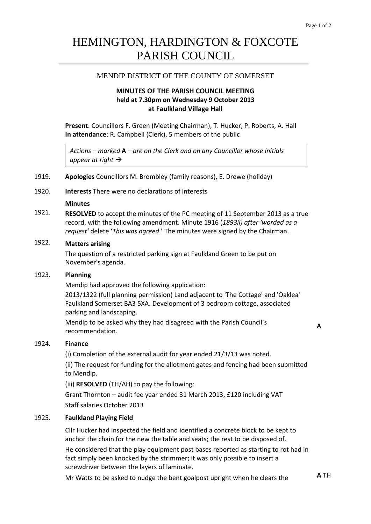# HEMINGTON, HARDINGTON & FOXCOTE PARISH COUNCIL

## MENDIP DISTRICT OF THE COUNTY OF SOMERSET

### **MINUTES OF THE PARISH COUNCIL MEETING held at 7.30pm on Wednesday 9 October 2013 at Faulkland Village Hall**

**Present**: Councillors F. Green (Meeting Chairman), T. Hucker, P. Roberts, A. Hall **In attendance**: R. Campbell (Clerk), 5 members of the public

*Actions – marked* **A** *– are on the Clerk and on any Councillor whose initials appear at right*

### 1919. **Apologies** Councillors M. Brombley (family reasons), E. Drewe (holiday)

1920. **Interests** There were no declarations of interests

### **Minutes**

1921. **RESOLVED** to accept the minutes of the PC meeting of 11 September 2013 as a true record, with the following amendment. Minute 1916 (*1893ii) after 'worded as a request'* delete '*This was agreed*.' The minutes were signed by the Chairman.

### 1922. **Matters arising**

The question of a restricted parking sign at Faulkland Green to be put on November's agenda.

### 1923. **Planning**

Mendip had approved the following application:

2013/1322 (full planning permission) Land adjacent to 'The Cottage' and 'Oaklea' Faulkland Somerset BA3 5XA. Development of 3 bedroom cottage, associated parking and landscaping.

Mendip to be asked why they had disagreed with the Parish Council's recommendation.

**A**

### 1924. **Finance**

(i) Completion of the external audit for year ended 21/3/13 was noted.

(ii) The request for funding for the allotment gates and fencing had been submitted to Mendip.

(iii) **RESOLVED** (TH/AH) to pay the following:

Grant Thornton – audit fee year ended 31 March 2013, £120 including VAT Staff salaries October 2013

### 1925. **Faulkland Playing Field**

Cllr Hucker had inspected the field and identified a concrete block to be kept to anchor the chain for the new the table and seats; the rest to be disposed of.

He considered that the play equipment post bases reported as starting to rot had in fact simply been knocked by the strimmer; it was only possible to insert a screwdriver between the layers of laminate.

Mr Watts to be asked to nudge the bent goalpost upright when he clears the **A** TH